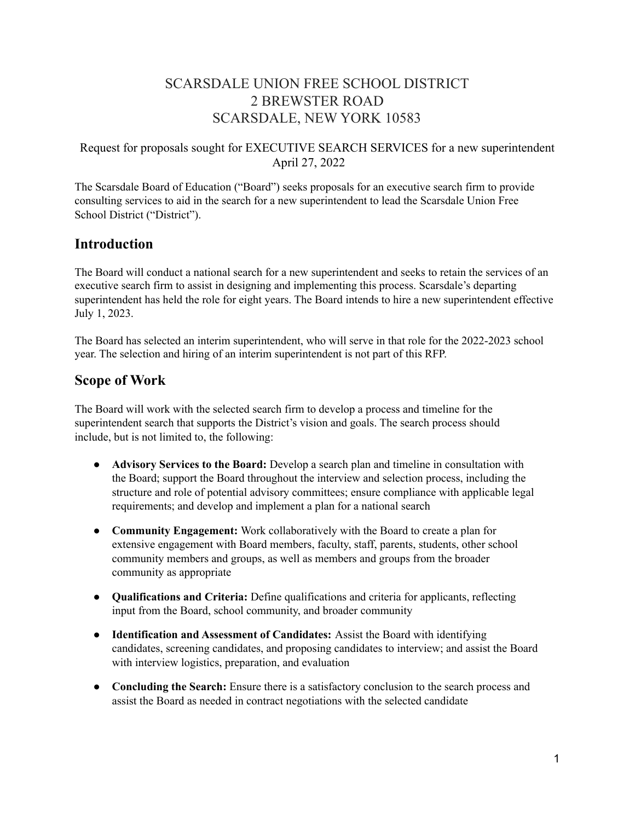# SCARSDALE UNION FREE SCHOOL DISTRICT 2 BREWSTER ROAD SCARSDALE, NEW YORK 10583

## Request for proposals sought for EXECUTIVE SEARCH SERVICES for a new superintendent April 27, 2022

The Scarsdale Board of Education ("Board") seeks proposals for an executive search firm to provide consulting services to aid in the search for a new superintendent to lead the Scarsdale Union Free School District ("District").

## **Introduction**

The Board will conduct a national search for a new superintendent and seeks to retain the services of an executive search firm to assist in designing and implementing this process. Scarsdale's departing superintendent has held the role for eight years. The Board intends to hire a new superintendent effective July 1, 2023.

The Board has selected an interim superintendent, who will serve in that role for the 2022-2023 school year. The selection and hiring of an interim superintendent is not part of this RFP.

## **Scope of Work**

The Board will work with the selected search firm to develop a process and timeline for the superintendent search that supports the District's vision and goals. The search process should include, but is not limited to, the following:

- **Advisory Services to the Board:** Develop a search plan and timeline in consultation with the Board; support the Board throughout the interview and selection process, including the structure and role of potential advisory committees; ensure compliance with applicable legal requirements; and develop and implement a plan for a national search
- **Community Engagement:** Work collaboratively with the Board to create a plan for extensive engagement with Board members, faculty, staff, parents, students, other school community members and groups, as well as members and groups from the broader community as appropriate
- **Qualifications and Criteria:** Define qualifications and criteria for applicants, reflecting input from the Board, school community, and broader community
- **Identification and Assessment of Candidates:** Assist the Board with identifying candidates, screening candidates, and proposing candidates to interview; and assist the Board with interview logistics, preparation, and evaluation
- **Concluding the Search:** Ensure there is a satisfactory conclusion to the search process and assist the Board as needed in contract negotiations with the selected candidate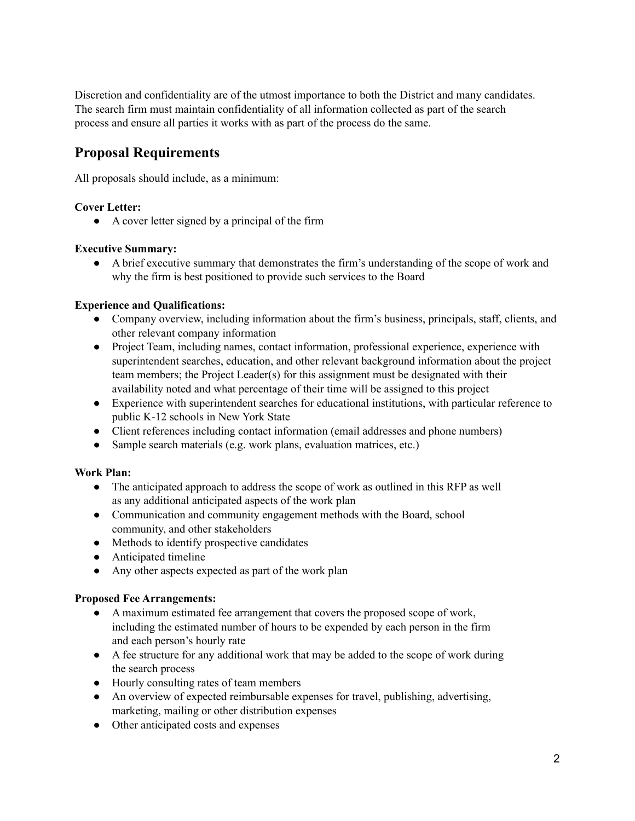Discretion and confidentiality are of the utmost importance to both the District and many candidates. The search firm must maintain confidentiality of all information collected as part of the search process and ensure all parties it works with as part of the process do the same.

# **Proposal Requirements**

All proposals should include, as a minimum:

## **Cover Letter:**

● A cover letter signed by a principal of the firm

## **Executive Summary:**

● A brief executive summary that demonstrates the firm's understanding of the scope of work and why the firm is best positioned to provide such services to the Board

## **Experience and Qualifications:**

- Company overview, including information about the firm's business, principals, staff, clients, and other relevant company information
- Project Team, including names, contact information, professional experience, experience with superintendent searches, education, and other relevant background information about the project team members; the Project Leader(s) for this assignment must be designated with their availability noted and what percentage of their time will be assigned to this project
- Experience with superintendent searches for educational institutions, with particular reference to public K-12 schools in New York State
- Client references including contact information (email addresses and phone numbers)
- Sample search materials (e.g. work plans, evaluation matrices, etc.)

## **Work Plan:**

- The anticipated approach to address the scope of work as outlined in this RFP as well as any additional anticipated aspects of the work plan
- Communication and community engagement methods with the Board, school community, and other stakeholders
- Methods to identify prospective candidates
- Anticipated timeline
- Any other aspects expected as part of the work plan

## **Proposed Fee Arrangements:**

- A maximum estimated fee arrangement that covers the proposed scope of work, including the estimated number of hours to be expended by each person in the firm and each person's hourly rate
- A fee structure for any additional work that may be added to the scope of work during the search process
- Hourly consulting rates of team members
- An overview of expected reimbursable expenses for travel, publishing, advertising, marketing, mailing or other distribution expenses
- Other anticipated costs and expenses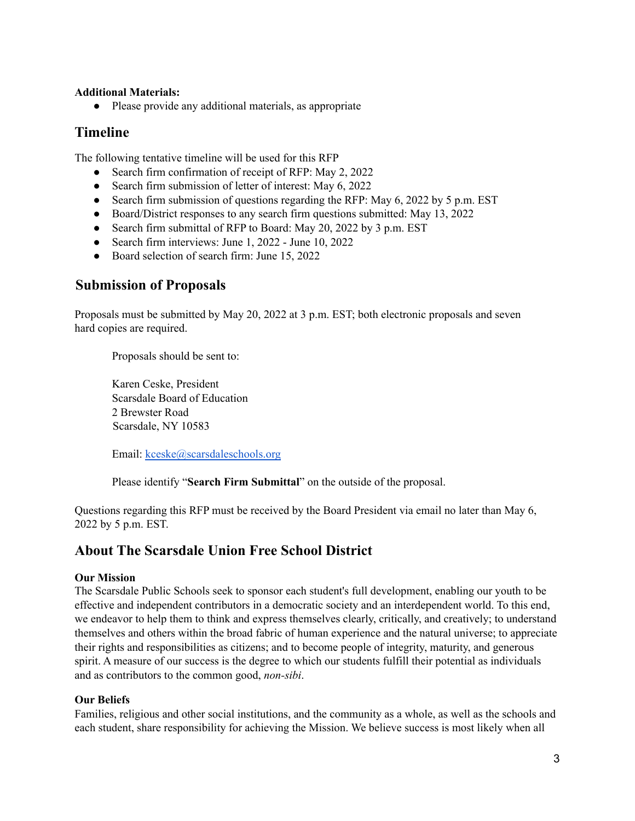#### **Additional Materials:**

● Please provide any additional materials, as appropriate

## **Timeline**

The following tentative timeline will be used for this RFP

- Search firm confirmation of receipt of RFP: May 2, 2022
- Search firm submission of letter of interest: May 6, 2022
- Search firm submission of questions regarding the RFP: May 6, 2022 by 5 p.m. EST
- Board/District responses to any search firm questions submitted: May 13, 2022
- Search firm submittal of RFP to Board: May 20, 2022 by 3 p.m. EST
- Search firm interviews: June 1, 2022 June 10, 2022
- Board selection of search firm: June 15, 2022

## **Submission of Proposals**

Proposals must be submitted by May 20, 2022 at 3 p.m. EST; both electronic proposals and seven hard copies are required.

Proposals should be sent to:

Karen Ceske, President Scarsdale Board of Education 2 Brewster Road Scarsdale, NY 10583

Email: [kceske@scarsdaleschools.org](mailto:kceske@scarsdaleschools.org)

Please identify "**Search Firm Submittal**" on the outside of the proposal.

Questions regarding this RFP must be received by the Board President via email no later than May 6, 2022 by 5 p.m. EST.

## **About The Scarsdale Union Free School District**

#### **Our Mission**

The Scarsdale Public Schools seek to sponsor each student's full development, enabling our youth to be effective and independent contributors in a democratic society and an interdependent world. To this end, we endeavor to help them to think and express themselves clearly, critically, and creatively; to understand themselves and others within the broad fabric of human experience and the natural universe; to appreciate their rights and responsibilities as citizens; and to become people of integrity, maturity, and generous spirit. A measure of our success is the degree to which our students fulfill their potential as individuals and as contributors to the common good, *non-sibi*.

#### **Our Beliefs**

Families, religious and other social institutions, and the community as a whole, as well as the schools and each student, share responsibility for achieving the Mission. We believe success is most likely when all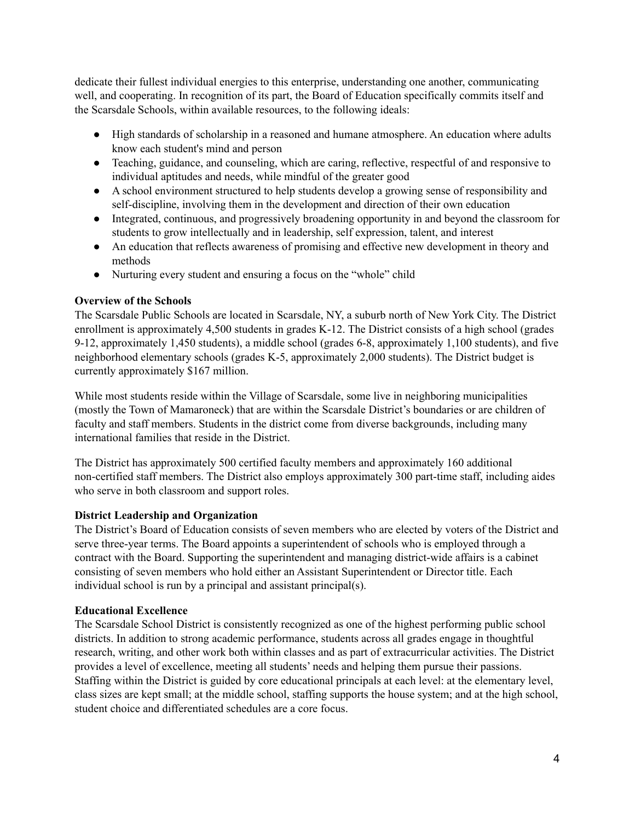dedicate their fullest individual energies to this enterprise, understanding one another, communicating well, and cooperating. In recognition of its part, the Board of Education specifically commits itself and the Scarsdale Schools, within available resources, to the following ideals:

- High standards of scholarship in a reasoned and humane atmosphere. An education where adults know each student's mind and person
- Teaching, guidance, and counseling, which are caring, reflective, respectful of and responsive to individual aptitudes and needs, while mindful of the greater good
- A school environment structured to help students develop a growing sense of responsibility and self-discipline, involving them in the development and direction of their own education
- Integrated, continuous, and progressively broadening opportunity in and beyond the classroom for students to grow intellectually and in leadership, self expression, talent, and interest
- An education that reflects awareness of promising and effective new development in theory and methods
- Nurturing every student and ensuring a focus on the "whole" child

## **Overview of the Schools**

The Scarsdale Public Schools are located in Scarsdale, NY, a suburb north of New York City. The District enrollment is approximately 4,500 students in grades K-12. The District consists of a high school (grades 9-12, approximately 1,450 students), a middle school (grades 6-8, approximately 1,100 students), and five neighborhood elementary schools (grades K-5, approximately 2,000 students). The District budget is currently approximately \$167 million.

While most students reside within the Village of Scarsdale, some live in neighboring municipalities (mostly the Town of Mamaroneck) that are within the Scarsdale District's boundaries or are children of faculty and staff members. Students in the district come from diverse backgrounds, including many international families that reside in the District.

The District has approximately 500 certified faculty members and approximately 160 additional non-certified staff members. The District also employs approximately 300 part-time staff, including aides who serve in both classroom and support roles.

## **District Leadership and Organization**

The District's Board of Education consists of seven members who are elected by voters of the District and serve three-year terms. The Board appoints a superintendent of schools who is employed through a contract with the Board. Supporting the superintendent and managing district-wide affairs is a cabinet consisting of seven members who hold either an Assistant Superintendent or Director title. Each individual school is run by a principal and assistant principal(s).

## **Educational Excellence**

The Scarsdale School District is consistently recognized as one of the highest performing public school districts. In addition to strong academic performance, students across all grades engage in thoughtful research, writing, and other work both within classes and as part of extracurricular activities. The District provides a level of excellence, meeting all students' needs and helping them pursue their passions. Staffing within the District is guided by core educational principals at each level: at the elementary level, class sizes are kept small; at the middle school, staffing supports the house system; and at the high school, student choice and differentiated schedules are a core focus.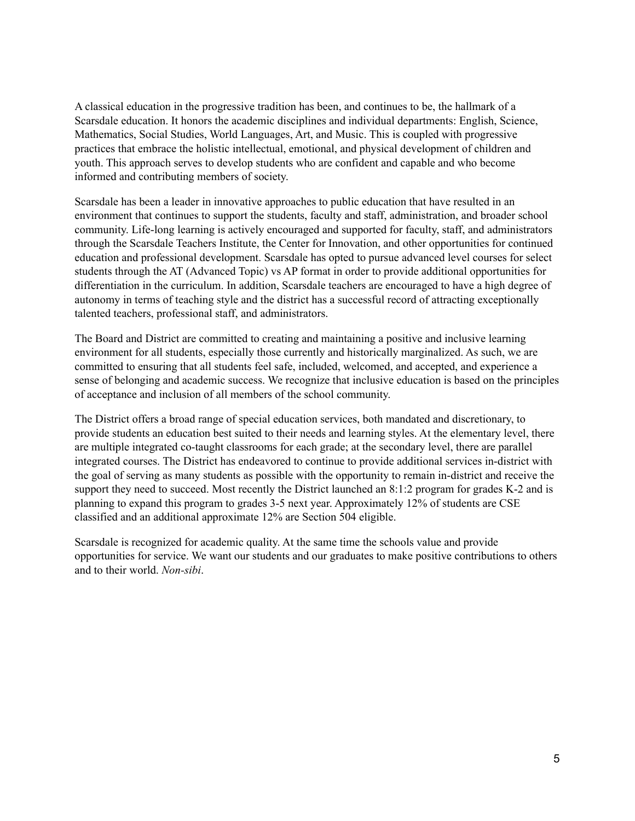A classical education in the progressive tradition has been, and continues to be, the hallmark of a Scarsdale education. It honors the academic disciplines and individual departments: English, Science, Mathematics, Social Studies, World Languages, Art, and Music. This is coupled with progressive practices that embrace the holistic intellectual, emotional, and physical development of children and youth. This approach serves to develop students who are confident and capable and who become informed and contributing members of society.

Scarsdale has been a leader in innovative approaches to public education that have resulted in an environment that continues to support the students, faculty and staff, administration, and broader school community. Life-long learning is actively encouraged and supported for faculty, staff, and administrators through the Scarsdale Teachers Institute, the Center for Innovation, and other opportunities for continued education and professional development. Scarsdale has opted to pursue advanced level courses for select students through the AT (Advanced Topic) vs AP format in order to provide additional opportunities for differentiation in the curriculum. In addition, Scarsdale teachers are encouraged to have a high degree of autonomy in terms of teaching style and the district has a successful record of attracting exceptionally talented teachers, professional staff, and administrators.

The Board and District are committed to creating and maintaining a positive and inclusive learning environment for all students, especially those currently and historically marginalized. As such, we are committed to ensuring that all students feel safe, included, welcomed, and accepted, and experience a sense of belonging and academic success. We recognize that inclusive education is based on the principles of acceptance and inclusion of all members of the school community.

The District offers a broad range of special education services, both mandated and discretionary, to provide students an education best suited to their needs and learning styles. At the elementary level, there are multiple integrated co-taught classrooms for each grade; at the secondary level, there are parallel integrated courses. The District has endeavored to continue to provide additional services in-district with the goal of serving as many students as possible with the opportunity to remain in-district and receive the support they need to succeed. Most recently the District launched an 8:1:2 program for grades K-2 and is planning to expand this program to grades 3-5 next year. Approximately 12% of students are CSE classified and an additional approximate 12% are Section 504 eligible.

Scarsdale is recognized for academic quality. At the same time the schools value and provide opportunities for service. We want our students and our graduates to make positive contributions to others and to their world. *Non-sibi*.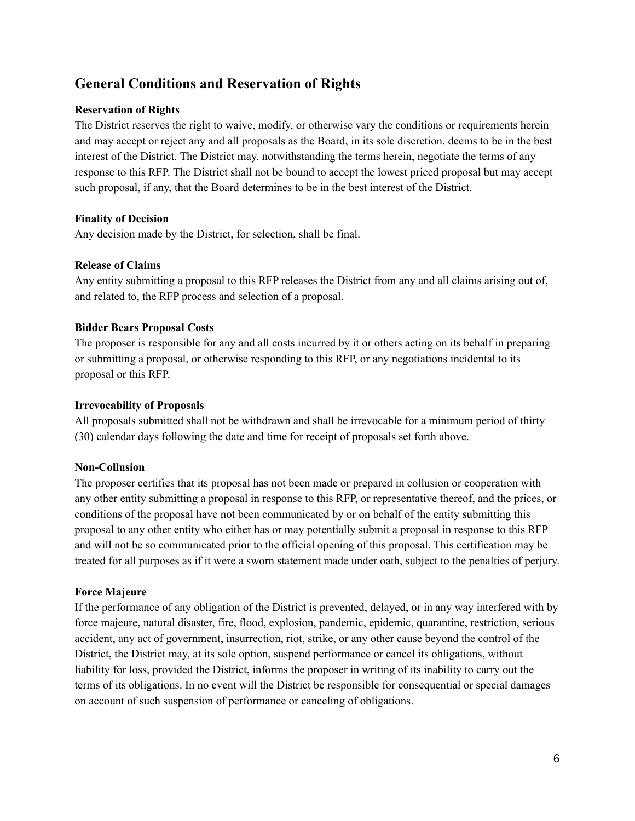# **General Conditions and Reservation of Rights**

#### **Reservation of Rights**

The District reserves the right to waive, modify, or otherwise vary the conditions or requirements herein and may accept or reject any and all proposals as the Board, in its sole discretion, deems to be in the best interest of the District. The District may, notwithstanding the terms herein, negotiate the terms of any response to this RFP. The District shall not be bound to accept the lowest priced proposal but may accept such proposal, if any, that the Board determines to be in the best interest of the District.

#### **Finality of Decision**

Any decision made by the District, for selection, shall be final.

#### **Release of Claims**

Any entity submitting a proposal to this RFP releases the District from any and all claims arising out of, and related to, the RFP process and selection of a proposal.

#### **Bidder Bears Proposal Costs**

The proposer is responsible for any and all costs incurred by it or others acting on its behalf in preparing or submitting a proposal, or otherwise responding to this RFP, or any negotiations incidental to its proposal or this RFP.

#### **Irrevocability of Proposals**

All proposals submitted shall not be withdrawn and shall be irrevocable for a minimum period of thirty (30) calendar days following the date and time for receipt of proposals set forth above.

#### **Non-Collusion**

The proposer certifies that its proposal has not been made or prepared in collusion or cooperation with any other entity submitting a proposal in response to this RFP, or representative thereof, and the prices, or conditions of the proposal have not been communicated by or on behalf of the entity submitting this proposal to any other entity who either has or may potentially submit a proposal in response to this RFP and will not be so communicated prior to the official opening of this proposal. This certification may be treated for all purposes as if it were a sworn statement made under oath, subject to the penalties of perjury.

#### **Force Majeure**

If the performance of any obligation of the District is prevented, delayed, or in any way interfered with by force majeure, natural disaster, fire, flood, explosion, pandemic, epidemic, quarantine, restriction, serious accident, any act of government, insurrection, riot, strike, or any other cause beyond the control of the District, the District may, at its sole option, suspend performance or cancel its obligations, without liability for loss, provided the District, informs the proposer in writing of its inability to carry out the terms of its obligations. In no event will the District be responsible for consequential or special damages on account of such suspension of performance or canceling of obligations.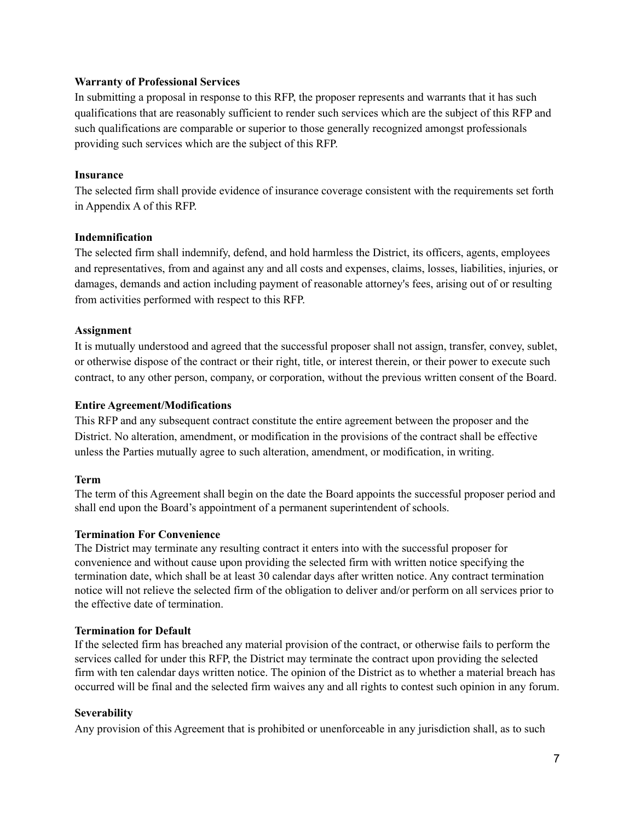#### **Warranty of Professional Services**

In submitting a proposal in response to this RFP, the proposer represents and warrants that it has such qualifications that are reasonably sufficient to render such services which are the subject of this RFP and such qualifications are comparable or superior to those generally recognized amongst professionals providing such services which are the subject of this RFP.

#### **Insurance**

The selected firm shall provide evidence of insurance coverage consistent with the requirements set forth in Appendix A of this RFP.

#### **Indemnification**

The selected firm shall indemnify, defend, and hold harmless the District, its officers, agents, employees and representatives, from and against any and all costs and expenses, claims, losses, liabilities, injuries, or damages, demands and action including payment of reasonable attorney's fees, arising out of or resulting from activities performed with respect to this RFP.

#### **Assignment**

It is mutually understood and agreed that the successful proposer shall not assign, transfer, convey, sublet, or otherwise dispose of the contract or their right, title, or interest therein, or their power to execute such contract, to any other person, company, or corporation, without the previous written consent of the Board.

#### **Entire Agreement/Modifications**

This RFP and any subsequent contract constitute the entire agreement between the proposer and the District. No alteration, amendment, or modification in the provisions of the contract shall be effective unless the Parties mutually agree to such alteration, amendment, or modification, in writing.

#### **Term**

The term of this Agreement shall begin on the date the Board appoints the successful proposer period and shall end upon the Board's appointment of a permanent superintendent of schools.

#### **Termination For Convenience**

The District may terminate any resulting contract it enters into with the successful proposer for convenience and without cause upon providing the selected firm with written notice specifying the termination date, which shall be at least 30 calendar days after written notice. Any contract termination notice will not relieve the selected firm of the obligation to deliver and/or perform on all services prior to the effective date of termination.

## **Termination for Default**

If the selected firm has breached any material provision of the contract, or otherwise fails to perform the services called for under this RFP, the District may terminate the contract upon providing the selected firm with ten calendar days written notice. The opinion of the District as to whether a material breach has occurred will be final and the selected firm waives any and all rights to contest such opinion in any forum.

## **Severability**

Any provision of this Agreement that is prohibited or unenforceable in any jurisdiction shall, as to such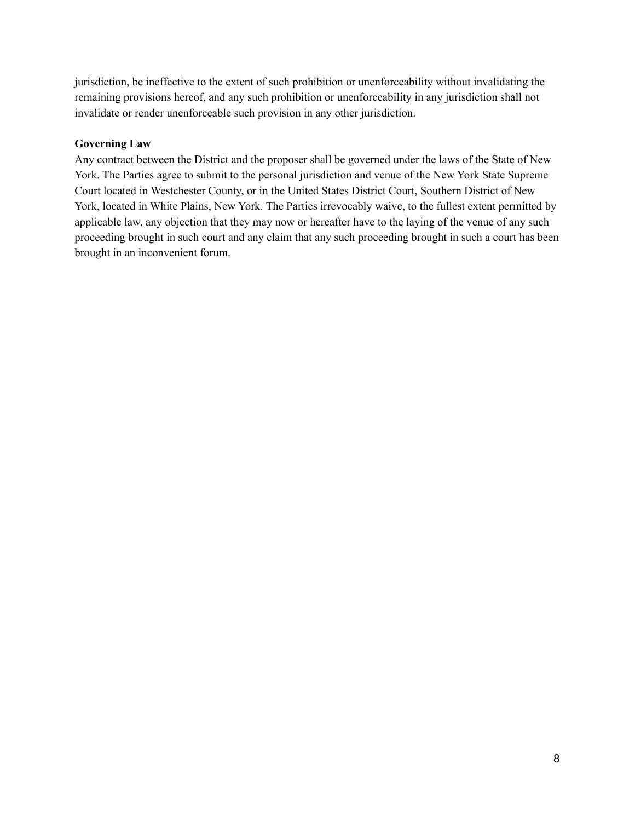jurisdiction, be ineffective to the extent of such prohibition or unenforceability without invalidating the remaining provisions hereof, and any such prohibition or unenforceability in any jurisdiction shall not invalidate or render unenforceable such provision in any other jurisdiction.

#### **Governing Law**

Any contract between the District and the proposer shall be governed under the laws of the State of New York. The Parties agree to submit to the personal jurisdiction and venue of the New York State Supreme Court located in Westchester County, or in the United States District Court, Southern District of New York, located in White Plains, New York. The Parties irrevocably waive, to the fullest extent permitted by applicable law, any objection that they may now or hereafter have to the laying of the venue of any such proceeding brought in such court and any claim that any such proceeding brought in such a court has been brought in an inconvenient forum.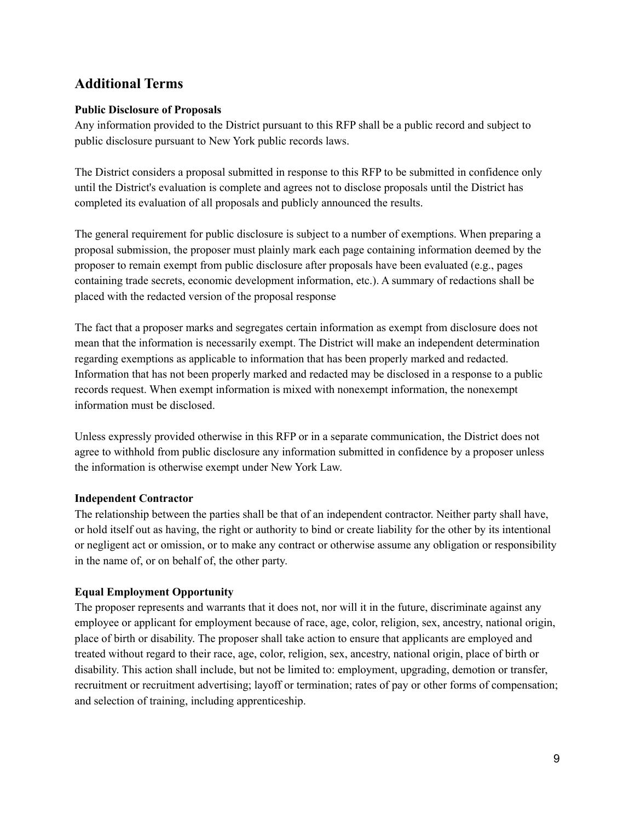## **Additional Terms**

## **Public Disclosure of Proposals**

Any information provided to the District pursuant to this RFP shall be a public record and subject to public disclosure pursuant to New York public records laws.

The District considers a proposal submitted in response to this RFP to be submitted in confidence only until the District's evaluation is complete and agrees not to disclose proposals until the District has completed its evaluation of all proposals and publicly announced the results.

The general requirement for public disclosure is subject to a number of exemptions. When preparing a proposal submission, the proposer must plainly mark each page containing information deemed by the proposer to remain exempt from public disclosure after proposals have been evaluated (e.g., pages containing trade secrets, economic development information, etc.). A summary of redactions shall be placed with the redacted version of the proposal response

The fact that a proposer marks and segregates certain information as exempt from disclosure does not mean that the information is necessarily exempt. The District will make an independent determination regarding exemptions as applicable to information that has been properly marked and redacted. Information that has not been properly marked and redacted may be disclosed in a response to a public records request. When exempt information is mixed with nonexempt information, the nonexempt information must be disclosed.

Unless expressly provided otherwise in this RFP or in a separate communication, the District does not agree to withhold from public disclosure any information submitted in confidence by a proposer unless the information is otherwise exempt under New York Law.

## **Independent Contractor**

The relationship between the parties shall be that of an independent contractor. Neither party shall have, or hold itself out as having, the right or authority to bind or create liability for the other by its intentional or negligent act or omission, or to make any contract or otherwise assume any obligation or responsibility in the name of, or on behalf of, the other party.

## **Equal Employment Opportunity**

The proposer represents and warrants that it does not, nor will it in the future, discriminate against any employee or applicant for employment because of race, age, color, religion, sex, ancestry, national origin, place of birth or disability. The proposer shall take action to ensure that applicants are employed and treated without regard to their race, age, color, religion, sex, ancestry, national origin, place of birth or disability. This action shall include, but not be limited to: employment, upgrading, demotion or transfer, recruitment or recruitment advertising; layoff or termination; rates of pay or other forms of compensation; and selection of training, including apprenticeship.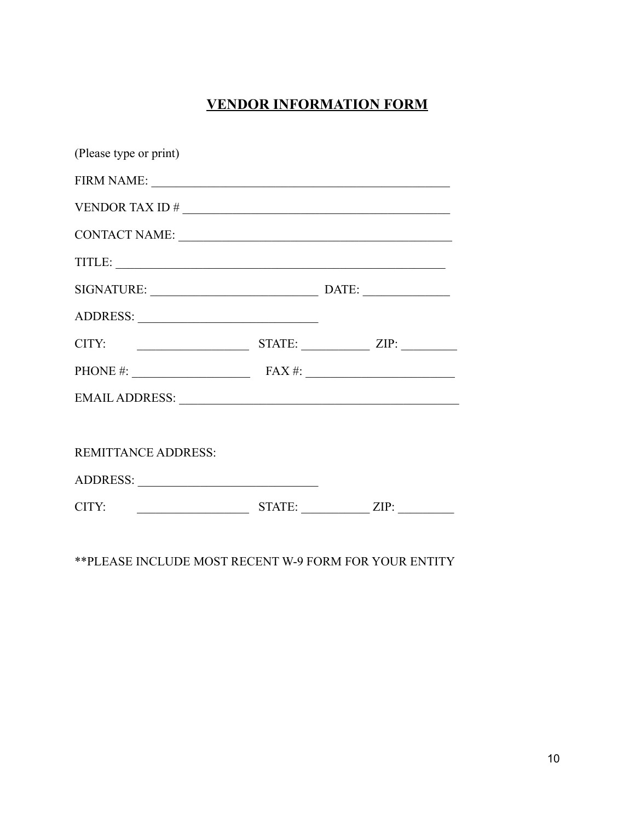# **VENDOR INFORMATION FORM**

| (Please type or print)                          |  |  |
|-------------------------------------------------|--|--|
|                                                 |  |  |
|                                                 |  |  |
|                                                 |  |  |
| TITLE:                                          |  |  |
| SIGNATURE: DATE: DATE:                          |  |  |
|                                                 |  |  |
| $CITY:$ STATE: $ZIP:$                           |  |  |
| PHONE #: $\qquad \qquad$ FAX #: $\qquad \qquad$ |  |  |
|                                                 |  |  |
|                                                 |  |  |
| <b>REMITTANCE ADDRESS:</b>                      |  |  |
|                                                 |  |  |
|                                                 |  |  |
|                                                 |  |  |

\*\*PLEASE INCLUDE MOST RECENT W-9 FORM FOR YOUR ENTITY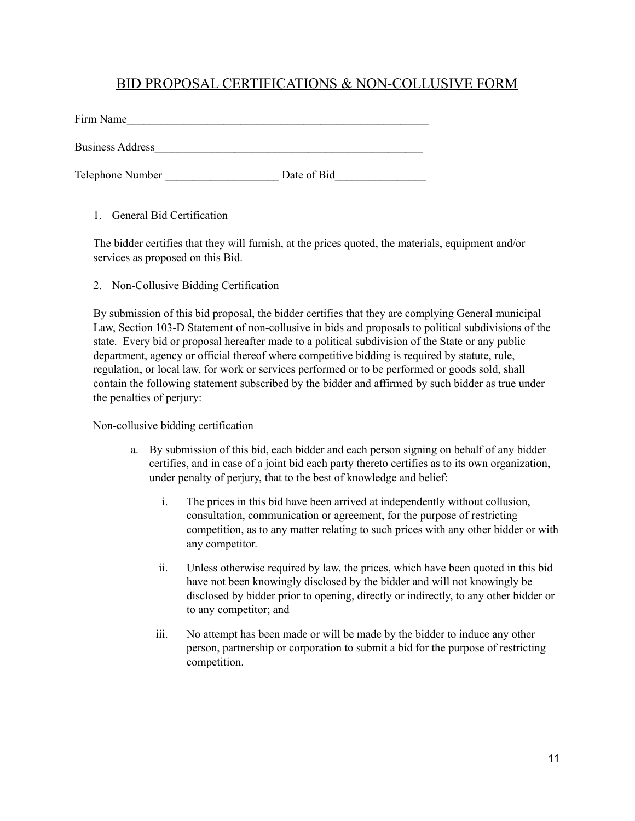## BID PROPOSAL CERTIFICATIONS & NON-COLLUSIVE FORM

| Firm Name               |             |
|-------------------------|-------------|
| <b>Business Address</b> |             |
| Telephone Number        | Date of Bid |

1. General Bid Certification

The bidder certifies that they will furnish, at the prices quoted, the materials, equipment and/or services as proposed on this Bid.

2. Non-Collusive Bidding Certification

By submission of this bid proposal, the bidder certifies that they are complying General municipal Law, Section 103-D Statement of non-collusive in bids and proposals to political subdivisions of the state. Every bid or proposal hereafter made to a political subdivision of the State or any public department, agency or official thereof where competitive bidding is required by statute, rule, regulation, or local law, for work or services performed or to be performed or goods sold, shall contain the following statement subscribed by the bidder and affirmed by such bidder as true under the penalties of perjury:

#### Non-collusive bidding certification

- a. By submission of this bid, each bidder and each person signing on behalf of any bidder certifies, and in case of a joint bid each party thereto certifies as to its own organization, under penalty of perjury, that to the best of knowledge and belief:
	- i. The prices in this bid have been arrived at independently without collusion, consultation, communication or agreement, for the purpose of restricting competition, as to any matter relating to such prices with any other bidder or with any competitor.
	- ii. Unless otherwise required by law, the prices, which have been quoted in this bid have not been knowingly disclosed by the bidder and will not knowingly be disclosed by bidder prior to opening, directly or indirectly, to any other bidder or to any competitor; and
	- iii. No attempt has been made or will be made by the bidder to induce any other person, partnership or corporation to submit a bid for the purpose of restricting competition.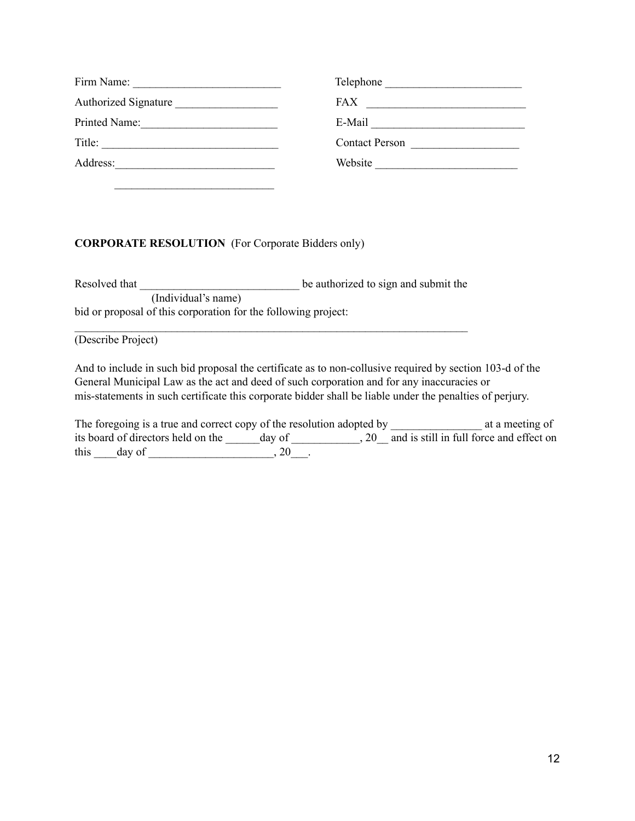| Firm Name:                  | Telephone             |
|-----------------------------|-----------------------|
| <b>Authorized Signature</b> | <b>FAX</b>            |
| Printed Name:               | E-Mail                |
| Title:                      | <b>Contact Person</b> |
| Address:                    | Website               |

### **CORPORATE RESOLUTION** (For Corporate Bidders only)

 $\mathcal{L}_\text{max}$ 

Resolved that the number of the authorized to sign and submit the (Individual's name) bid or proposal of this corporation for the following project:

 $\mathcal{L}_\text{max} = \frac{1}{2} \sum_{i=1}^n \mathcal{L}_\text{max}(\mathbf{x}_i - \mathbf{y}_i)$ 

(Describe Project)

And to include in such bid proposal the certificate as to non-collusive required by section 103-d of the General Municipal Law as the act and deed of such corporation and for any inaccuracies or mis-statements in such certificate this corporate bidder shall be liable under the penalties of perjury.

|      | The foregoing is a true and correct copy of the resolution adopted by |        | at a meeting of                          |
|------|-----------------------------------------------------------------------|--------|------------------------------------------|
|      | its board of directors held on the                                    | day of | and is still in full force and effect on |
| this | day of                                                                | 20     |                                          |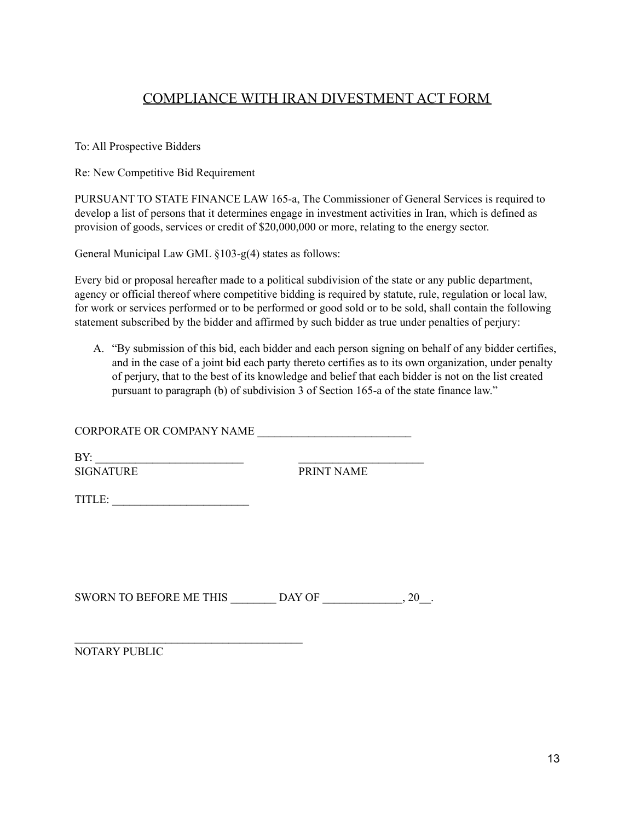# COMPLIANCE WITH IRAN DIVESTMENT ACT FORM

To: All Prospective Bidders

Re: New Competitive Bid Requirement

PURSUANT TO STATE FINANCE LAW 165-a, The Commissioner of General Services is required to develop a list of persons that it determines engage in investment activities in Iran, which is defined as provision of goods, services or credit of \$20,000,000 or more, relating to the energy sector.

General Municipal Law GML §103-g(4) states as follows:

Every bid or proposal hereafter made to a political subdivision of the state or any public department, agency or official thereof where competitive bidding is required by statute, rule, regulation or local law, for work or services performed or to be performed or good sold or to be sold, shall contain the following statement subscribed by the bidder and affirmed by such bidder as true under penalties of perjury:

A. "By submission of this bid, each bidder and each person signing on behalf of any bidder certifies, and in the case of a joint bid each party thereto certifies as to its own organization, under penalty of perjury, that to the best of its knowledge and belief that each bidder is not on the list created pursuant to paragraph (b) of subdivision 3 of Section 165-a of the state finance law."

CORPORATE OR COMPANY NAME

 $BY:$ 

SIGNATURE PRINT NAME

TITLE: \_\_\_\_\_\_\_\_\_\_\_\_\_\_\_\_\_\_\_\_\_\_\_\_

 $\mathcal{L}_\text{max}$ 

| <b>SWORN TO BEFORE ME THIS</b> | DAY OF |  |  |
|--------------------------------|--------|--|--|
|                                |        |  |  |

NOTARY PUBLIC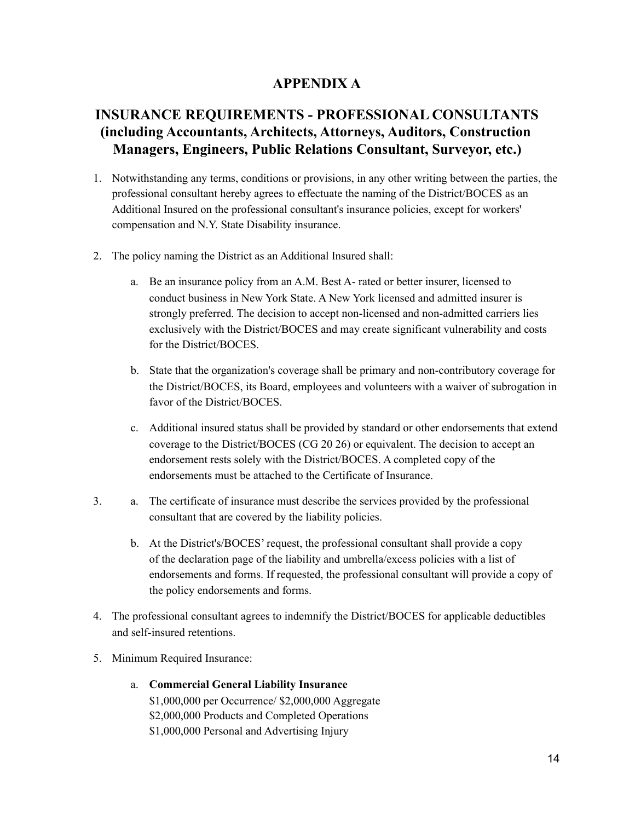## **APPENDIX A**

# **INSURANCE REQUIREMENTS - PROFESSIONAL CONSULTANTS (including Accountants, Architects, Attorneys, Auditors, Construction Managers, Engineers, Public Relations Consultant, Surveyor, etc.)**

- 1. Notwithstanding any terms, conditions or provisions, in any other writing between the parties, the professional consultant hereby agrees to effectuate the naming of the District/BOCES as an Additional Insured on the professional consultant's insurance policies, except for workers' compensation and N.Y. State Disability insurance.
- 2. The policy naming the District as an Additional Insured shall:
	- a. Be an insurance policy from an A.M. Best A- rated or better insurer, licensed to conduct business in New York State. A New York licensed and admitted insurer is strongly preferred. The decision to accept non-licensed and non-admitted carriers lies exclusively with the District/BOCES and may create significant vulnerability and costs for the District/BOCES.
	- b. State that the organization's coverage shall be primary and non-contributory coverage for the District/BOCES, its Board, employees and volunteers with a waiver of subrogation in favor of the District/BOCES.
	- c. Additional insured status shall be provided by standard or other endorsements that extend coverage to the District/BOCES (CG 20 26) or equivalent. The decision to accept an endorsement rests solely with the District/BOCES. A completed copy of the endorsements must be attached to the Certificate of Insurance.
- 3. a. The certificate of insurance must describe the services provided by the professional consultant that are covered by the liability policies.
	- b. At the District's/BOCES' request, the professional consultant shall provide a copy of the declaration page of the liability and umbrella/excess policies with a list of endorsements and forms. If requested, the professional consultant will provide a copy of the policy endorsements and forms.
- 4. The professional consultant agrees to indemnify the District/BOCES for applicable deductibles and self-insured retentions.
- 5. Minimum Required Insurance:
	- a. **Commercial General Liability Insurance** \$1,000,000 per Occurrence/ \$2,000,000 Aggregate \$2,000,000 Products and Completed Operations \$1,000,000 Personal and Advertising Injury